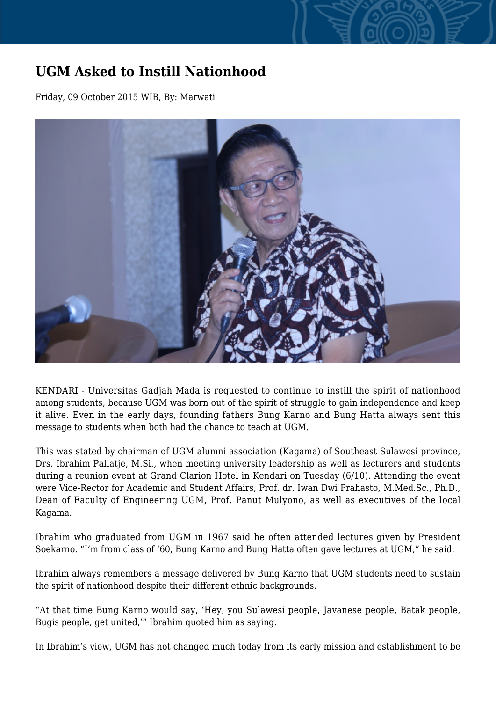## **UGM Asked to Instill Nationhood**

Friday, 09 October 2015 WIB, By: Marwati



KENDARI - Universitas Gadjah Mada is requested to continue to instill the spirit of nationhood among students, because UGM was born out of the spirit of struggle to gain independence and keep it alive. Even in the early days, founding fathers Bung Karno and Bung Hatta always sent this message to students when both had the chance to teach at UGM.

This was stated by chairman of UGM alumni association (Kagama) of Southeast Sulawesi province, Drs. Ibrahim Pallatje, M.Si., when meeting university leadership as well as lecturers and students during a reunion event at Grand Clarion Hotel in Kendari on Tuesday (6/10). Attending the event were Vice-Rector for Academic and Student Affairs, Prof. dr. Iwan Dwi Prahasto, M.Med.Sc., Ph.D., Dean of Faculty of Engineering UGM, Prof. Panut Mulyono, as well as executives of the local Kagama.

Ibrahim who graduated from UGM in 1967 said he often attended lectures given by President Soekarno. "I'm from class of '60, Bung Karno and Bung Hatta often gave lectures at UGM," he said.

Ibrahim always remembers a message delivered by Bung Karno that UGM students need to sustain the spirit of nationhood despite their different ethnic backgrounds.

"At that time Bung Karno would say, 'Hey, you Sulawesi people, Javanese people, Batak people, Bugis people, get united,'" Ibrahim quoted him as saying.

In Ibrahim's view, UGM has not changed much today from its early mission and establishment to be